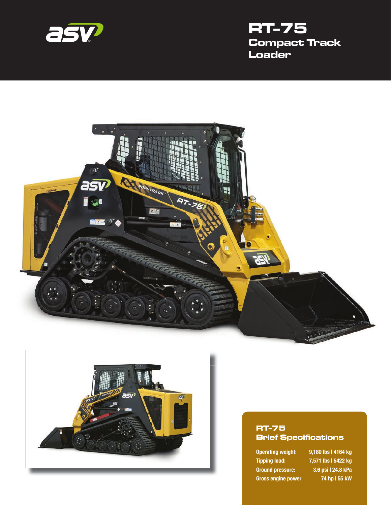

# **RT-75 Compact Track Loader**





#### **RT-75 Brief Specifications**

**Tipping load: 7,571 lbs | 5422 kg Ground pressure: 3.6 psi | 24.8 kPa Gross engine power 74 hp | 55 kW**

**Operating weight: 9,180 lbs | 4164 kg**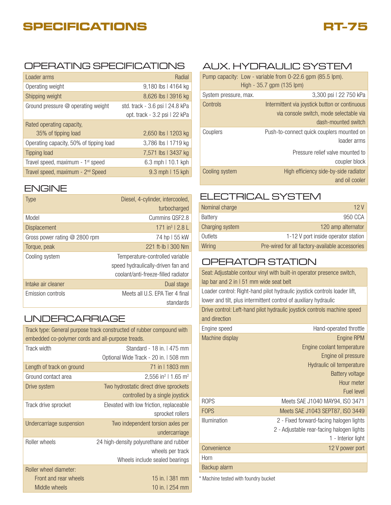# **SPECIFICATIONS**



#### OPERATING SPECIFICATIONS AUX. HYDRAULIC SYSTEM

| Loader arms                                   | Radial                          |
|-----------------------------------------------|---------------------------------|
| Operating weight                              | 9,180 lbs   4164 kg             |
| Shipping weight                               | 8,626 lbs   3916 kg             |
| Ground pressure @ operating weight            | std. track - 3.6 psi   24.8 kPa |
|                                               | opt. track - 3.2 psi   22 kPa   |
| Rated operating capacity,                     |                                 |
| 35% of tipping load                           | 2,650 lbs   1203 kg             |
| Operating capacity, 50% of tipping load       | 3,786 lbs   1719 kg             |
| <b>Tipping load</b>                           | 7,571 lbs   3437 kg             |
| Travel speed, maximum - 1 <sup>st</sup> speed | 6.3 mph   10.1 kph              |
| Travel speed, maximum - 2 <sup>nd</sup> Speed | $9.3$ mph $115$ kph             |

#### ENGINE

| <b>Type</b>                     | Diesel, 4-cylinder, intercooled,    |
|---------------------------------|-------------------------------------|
|                                 | turbocharged                        |
| Model                           | Cummins QSF2.8                      |
| <b>Displacement</b>             | $171 \text{ in}^3$   2.8            |
| Gross power rating $@$ 2800 rpm | 74 hp I 55 kW                       |
| Torque, peak                    | $221$ ft-lb   300 Nm                |
| Cooling system                  | Temperature-controlled variable     |
|                                 | speed hydraulically-driven fan and  |
|                                 | coolant/anti-freeze-filled radiator |
| Intake air cleaner              | Dual stage                          |
| Emission controls               | Meets all U.S. EPA Tier 4 final     |
|                                 | standards                           |

#### UNDERCARRIAGE

| Track type: General purpose track constructed of rubber compound with<br>embedded co-polymer cords and all-purpose treads. |                                             |  |
|----------------------------------------------------------------------------------------------------------------------------|---------------------------------------------|--|
| Track width                                                                                                                | Standard - 18 in.   475 mm                  |  |
|                                                                                                                            | Optional Wide Track - 20 in. I 508 mm       |  |
| Length of track on ground                                                                                                  | 71 in 11803 mm                              |  |
| Ground contact area                                                                                                        | 2,556 in <sup>2</sup>   1.65 m <sup>2</sup> |  |
| Drive system                                                                                                               | Two hydrostatic direct drive sprockets      |  |
|                                                                                                                            | controlled by a single joystick             |  |
| Track drive sprocket                                                                                                       | Elevated with low friction, replaceable     |  |
|                                                                                                                            | sprocket rollers                            |  |
| Undercarriage suspension                                                                                                   | Two independent torsion axles per           |  |
|                                                                                                                            | undercarriage                               |  |
| Roller wheels                                                                                                              | 24 high-density polyurethane and rubber     |  |
|                                                                                                                            | wheels per track                            |  |
|                                                                                                                            | Wheels include sealed bearings              |  |
| Roller wheel diameter:                                                                                                     |                                             |  |
| Front and rear wheels                                                                                                      | 15 in.   381 mm                             |  |
| Middle wheels                                                                                                              | 10 in.   254 mm                             |  |

| Pump capacity: Low - variable from 0-22.6 gpm (85.5 lpm).<br>High - 35.7 gpm (135 lpm) |                                                          |
|----------------------------------------------------------------------------------------|----------------------------------------------------------|
| System pressure, max.                                                                  | 3,300 psi   22 750 kPa                                   |
| Controls                                                                               | Intermittent via joystick button or continuous           |
|                                                                                        | via console switch, mode selectable via                  |
|                                                                                        | dash-mounted switch                                      |
| Couplers                                                                               | Push-to-connect quick couplers mounted on<br>loader arms |
|                                                                                        | Pressure relief valve mounted to                         |
|                                                                                        | coupler block                                            |
| Cooling system                                                                         | High efficiency side-by-side radiator                    |
|                                                                                        | and oil cooler                                           |

#### ELECTRICAL SYSTEM

| Nominal charge  | 12 V                                            |
|-----------------|-------------------------------------------------|
| Battery         | 950 CCA                                         |
| Charging system | 120 amp alternator                              |
| Outlets         | 1-12 V port inside operator station             |
| Wiring          | Pre-wired for all factory-available accessories |

### OPERATOR STATION

| lap bar and 2 in I 51 mm wide seat belt                                                                                                       | Seat: Adjustable contour vinyl with built-in operator presence switch,   |  |
|-----------------------------------------------------------------------------------------------------------------------------------------------|--------------------------------------------------------------------------|--|
| Loader control: Right-hand pilot hydraulic joystick controls loader lift,<br>lower and tilt, plus intermittent control of auxiliary hydraulic |                                                                          |  |
| and direction                                                                                                                                 | Drive control: Left-hand pilot hydraulic joystick controls machine speed |  |
| Engine speed                                                                                                                                  | Hand-operated throttle                                                   |  |
| Machine display                                                                                                                               | Engine RPM                                                               |  |
|                                                                                                                                               | Engine coolant temperature                                               |  |
|                                                                                                                                               | Engine oil pressure                                                      |  |
|                                                                                                                                               | Hydraulic oil temperature                                                |  |
|                                                                                                                                               | Battery voltage                                                          |  |
|                                                                                                                                               | Hour meter                                                               |  |
|                                                                                                                                               | Fuel level                                                               |  |
| <b>ROPS</b>                                                                                                                                   | Meets SAE J1040 MAY94, ISO 3471                                          |  |
| <b>FOPS</b>                                                                                                                                   | Meets SAE J1043 SEPT87, ISO 3449                                         |  |
| Illumination                                                                                                                                  | 2 - Fixed forward-facing halogen lights                                  |  |
|                                                                                                                                               | 2 - Adjustable rear-facing halogen lights                                |  |
|                                                                                                                                               | 1 - Interior light                                                       |  |
| Convenience                                                                                                                                   | 12 V power port                                                          |  |
| Horn                                                                                                                                          |                                                                          |  |
| Backup alarm                                                                                                                                  |                                                                          |  |

\* Machine tested with foundry bucket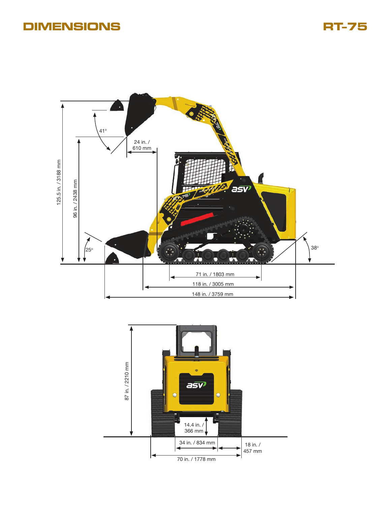## **DIMENSIONS RT-75**